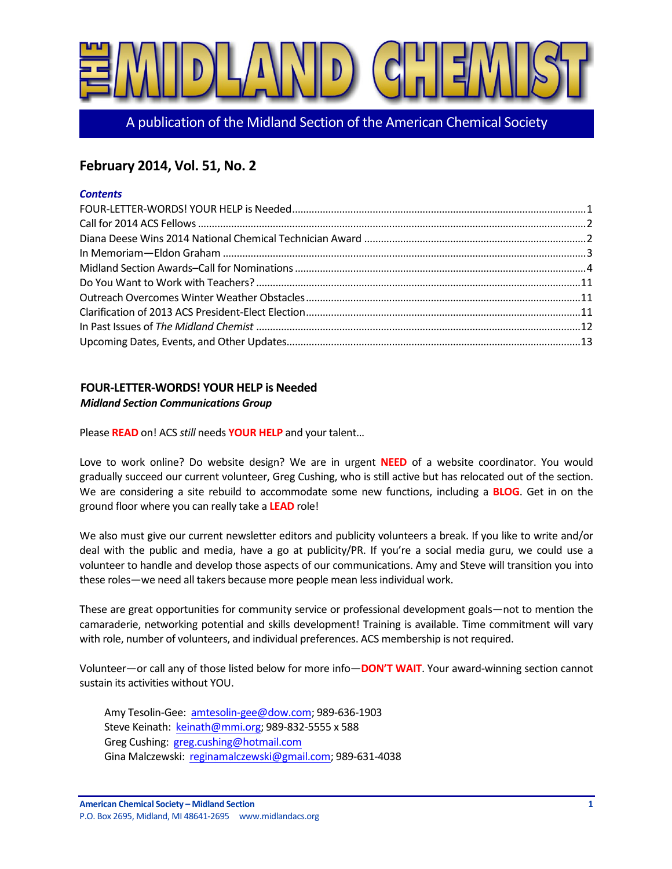

A publication of the Midland Section of the American Chemical Society

# **February 2014, Vol. 51, No. 2**

### *Contents*

# **FOUR-LETTER-WORDS! YOUR HELP is Needed**

# *Midland Section Communications Group*

Please **READ** on! ACS *still* needs **YOUR HELP** and your talent...

Love to work online? Do website design? We are in urgent **NEED** of a website coordinator. You would gradually succeed our current volunteer, Greg Cushing, who is still active but has relocated out of the section. We are considering a site rebuild to accommodate some new functions, including a **BLOG**. Get in on the ground floor where you can really take a LEAD role!

We also must give our current newsletter editors and publicity volunteers a break. If you like to write and/or deal with the public and media, have a go at publicity/PR. If you're a social media guru, we could use a volunteer to handle and develop those aspects of our communications. Amy and Steve will transition you into these roles—we need all takers because more people mean less individual work.

These are great opportunities for community service or professional development goals—not to mention the camaraderie, networking potential and skills development! Training is available. Time commitment will vary with role, number of volunteers, and individual preferences. ACS membership is not required.

Volunteer—or call any of those listed below for more info—**DON'T WAIT**. Your award-winning section cannot sustain its activities without YOU.

Amy Tesolin-Gee: amtesolin-gee@dow.com; 989-636-1903 Steve Keinath: keinath@mmi.org; 989-832-5555 x 588 Greg Cushing: greg.cushing@hotmail.com Gina Malczewski: reginamalczewski@gmail.com; 989-631-4038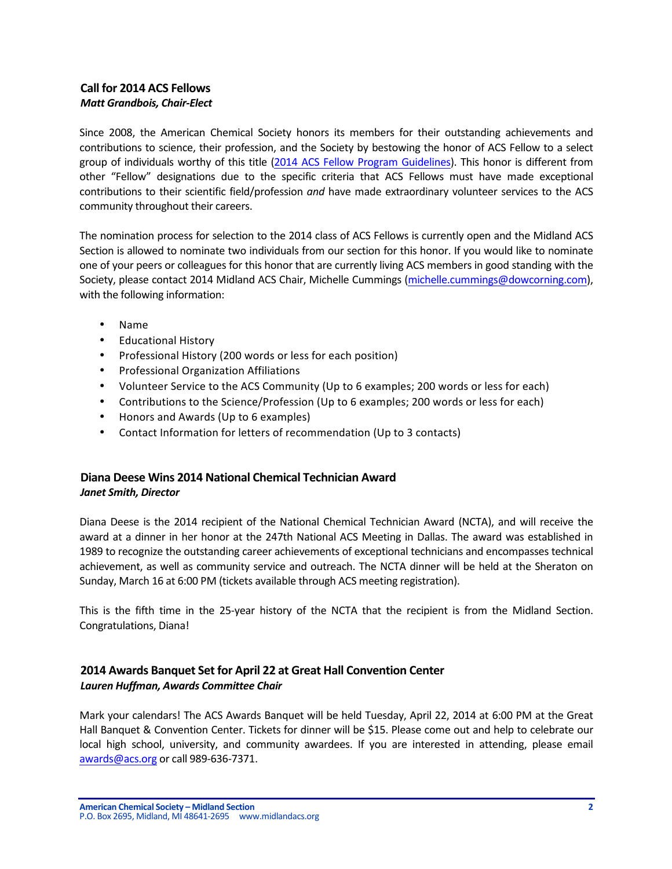# **Call for 2014 ACS Fellows** *Matt Grandbois, Chair-Elect*

Since 2008, the American Chemical Society honors its members for their outstanding achievements and contributions to science, their profession, and the Society by bestowing the honor of ACS Fellow to a select group of individuals worthy of this title (2014 ACS Fellow Program Guidelines). This honor is different from other "Fellow" designations due to the specific criteria that ACS Fellows must have made exceptional contributions to their scientific field/profession *and* have made extraordinary volunteer services to the ACS community throughout their careers.

The nomination process for selection to the 2014 class of ACS Fellows is currently open and the Midland ACS Section is allowed to nominate two individuals from our section for this honor. If you would like to nominate one of your peers or colleagues for this honor that are currently living ACS members in good standing with the Society, please contact 2014 Midland ACS Chair, Michelle Cummings (michelle.cummings@dowcorning.com), with the following information:

- Name
- Educational History
- Professional History (200 words or less for each position)
- Professional Organization Affiliations
- Volunteer Service to the ACS Community (Up to 6 examples; 200 words or less for each)
- Contributions to the Science/Profession (Up to 6 examples; 200 words or less for each)
- Honors and Awards (Up to 6 examples)
- Contact Information for letters of recommendation (Up to 3 contacts)

# **Diana Deese Wins 2014 National Chemical Technician Award** *Janet Smith, Director*

Diana Deese is the 2014 recipient of the National Chemical Technician Award (NCTA), and will receive the award at a dinner in her honor at the 247th National ACS Meeting in Dallas. The award was established in 1989 to recognize the outstanding career achievements of exceptional technicians and encompasses technical achievement, as well as community service and outreach. The NCTA dinner will be held at the Sheraton on Sunday, March 16 at 6:00 PM (tickets available through ACS meeting registration).

This is the fifth time in the 25-year history of the NCTA that the recipient is from the Midland Section. Congratulations, Diana!

# **2014 Awards Banquet Set for April 22 at Great Hall Convention Center** *Lauren Huffman, Awards Committee Chair*

Mark your calendars! The ACS Awards Banquet will be held Tuesday, April 22, 2014 at 6:00 PM at the Great Hall Banquet & Convention Center. Tickets for dinner will be \$15. Please come out and help to celebrate our local high school, university, and community awardees. If you are interested in attending, please email awards@acs.org or call 989-636-7371.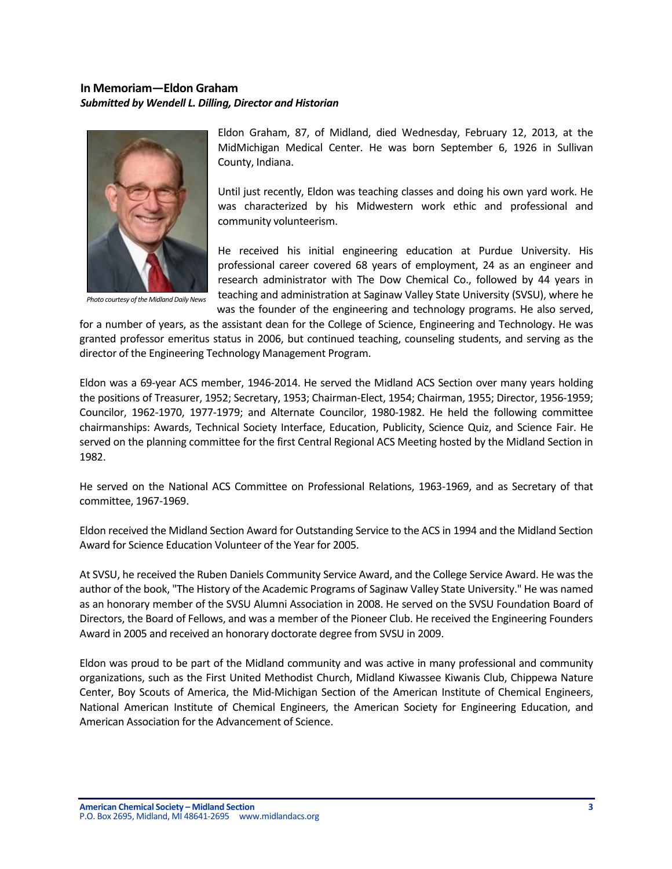# **In Memoriam—Eldon Graham** *Submitted by Wendell L. Dilling, Director and Historian*



**Photo courtesy of the Midland Daily News** 

Eldon Graham, 87, of Midland, died Wednesday, February 12, 2013, at the MidMichigan Medical Center. He was born September 6, 1926 in Sullivan County, Indiana.

Until just recently, Eldon was teaching classes and doing his own yard work. He was characterized by his Midwestern work ethic and professional and community volunteerism.

He received his initial engineering education at Purdue University. His professional career covered 68 years of employment, 24 as an engineer and research administrator with The Dow Chemical Co., followed by 44 years in teaching and administration at Saginaw Valley State University (SVSU), where he was the founder of the engineering and technology programs. He also served,

for a number of years, as the assistant dean for the College of Science, Engineering and Technology. He was granted professor emeritus status in 2006, but continued teaching, counseling students, and serving as the director of the Engineering Technology Management Program.

Eldon was a 69-year ACS member, 1946-2014. He served the Midland ACS Section over many years holding the positions of Treasurer, 1952; Secretary, 1953; Chairman-Elect, 1954; Chairman, 1955; Director, 1956-1959; Councilor, 1962-1970, 1977-1979; and Alternate Councilor, 1980-1982. He held the following committee chairmanships: Awards, Technical Society Interface, Education, Publicity, Science Quiz, and Science Fair. He served on the planning committee for the first Central Regional ACS Meeting hosted by the Midland Section in 1982.

He served on the National ACS Committee on Professional Relations, 1963-1969, and as Secretary of that committee, 1967-1969.

Eldon received the Midland Section Award for Outstanding Service to the ACS in 1994 and the Midland Section Award for Science Education Volunteer of the Year for 2005.

At SVSU, he received the Ruben Daniels Community Service Award, and the College Service Award. He was the author of the book, "The History of the Academic Programs of Saginaw Valley State University." He was named as an honorary member of the SVSU Alumni Association in 2008. He served on the SVSU Foundation Board of Directors, the Board of Fellows, and was a member of the Pioneer Club. He received the Engineering Founders Award in 2005 and received an honorary doctorate degree from SVSU in 2009.

Eldon was proud to be part of the Midland community and was active in many professional and community organizations, such as the First United Methodist Church, Midland Kiwassee Kiwanis Club, Chippewa Nature Center, Boy Scouts of America, the Mid-Michigan Section of the American Institute of Chemical Engineers, National American Institute of Chemical Engineers, the American Society for Engineering Education, and American Association for the Advancement of Science.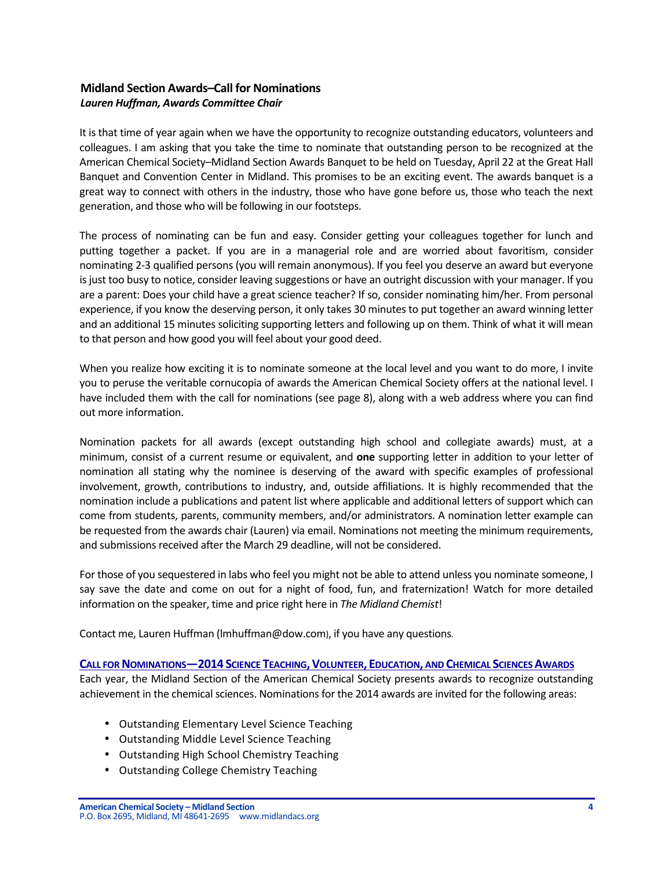# **Midland Section Awards–Call for Nominations** *Lauren Huffman, Awards Committee Chair*

It is that time of year again when we have the opportunity to recognize outstanding educators, volunteers and colleagues. I am asking that you take the time to nominate that outstanding person to be recognized at the American Chemical Society–Midland Section Awards Banquet to be held on Tuesday, April 22 at the Great Hall Banquet and Convention Center in Midland. This promises to be an exciting event. The awards banquet is a great way to connect with others in the industry, those who have gone before us, those who teach the next generation, and those who will be following in our footsteps.

The process of nominating can be fun and easy. Consider getting your colleagues together for lunch and putting together a packet. If you are in a managerial role and are worried about favoritism, consider nominating 2-3 qualified persons (you will remain anonymous). If you feel you deserve an award but everyone is just too busy to notice, consider leaving suggestions or have an outright discussion with your manager. If you are a parent: Does your child have a great science teacher? If so, consider nominating him/her. From personal experience, if you know the deserving person, it only takes 30 minutes to put together an award winning letter and an additional 15 minutes soliciting supporting letters and following up on them. Think of what it will mean to that person and how good you will feel about your good deed.

When you realize how exciting it is to nominate someone at the local level and you want to do more, I invite you to peruse the veritable cornucopia of awards the American Chemical Society offers at the national level. I have included them with the call for nominations (see page 8), along with a web address where you can find out more information.

Nomination packets for all awards (except outstanding high school and collegiate awards) must, at a minimum, consist of a current resume or equivalent, and **one** supporting letter in addition to your letter of nomination all stating why the nominee is deserving of the award with specific examples of professional involvement, growth, contributions to industry, and, outside affiliations. It is highly recommended that the nomination include a publications and patent list where applicable and additional letters of support which can come from students, parents, community members, and/or administrators. A nomination letter example can be requested from the awards chair (Lauren) via email. Nominations not meeting the minimum requirements, and submissions received after the March 29 deadline, will not be considered.

For those of you sequestered in labs who feel you might not be able to attend unless you nominate someone, I say save the date and come on out for a night of food, fun, and fraternization! Watch for more detailed information on the speaker, time and price right here in *The Midland Chemist!* 

Contact me, Lauren Huffman (Imhuffman@dow.com), if you have any questions.

# **CALL FOR NOMINATIONS—2014 SCIENCE TEACHING,VOLUNTEER, EDUCATION, AND CHEMICAL SCIENCES AWARDS**

Each year, the Midland Section of the American Chemical Society presents awards to recognize outstanding achievement in the chemical sciences. Nominations for the 2014 awards are invited for the following areas:

- Outstanding Elementary Level Science Teaching
- Outstanding Middle Level Science Teaching
- Outstanding High School Chemistry Teaching
- Outstanding College Chemistry Teaching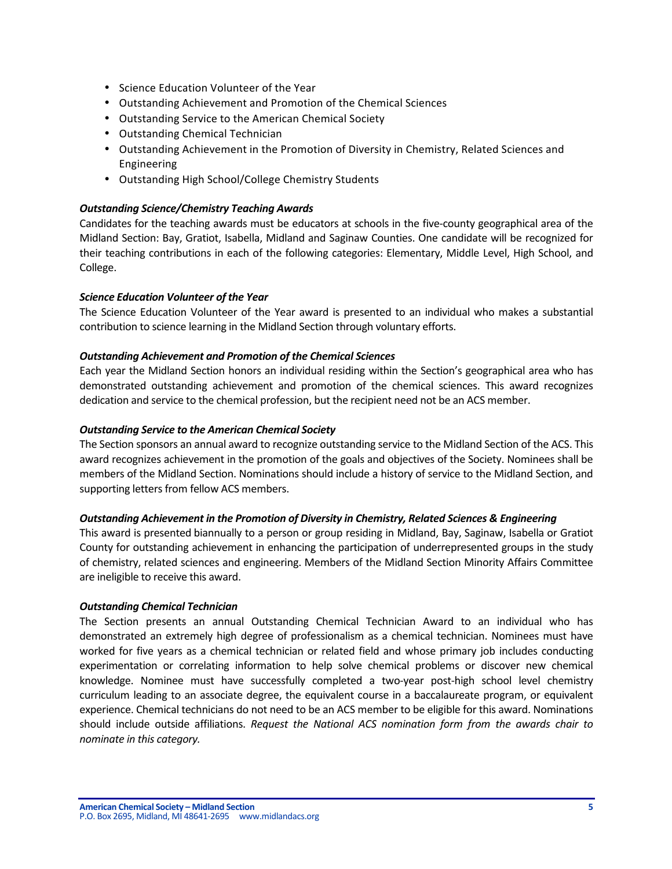- Science Education Volunteer of the Year
- Outstanding Achievement and Promotion of the Chemical Sciences
- Outstanding Service to the American Chemical Society
- Outstanding Chemical Technician
- Outstanding Achievement in the Promotion of Diversity in Chemistry, Related Sciences and Engineering
- Outstanding High School/College Chemistry Students

### *Outstanding Science/Chemistry Teaching Awards*

Candidates for the teaching awards must be educators at schools in the five-county geographical area of the Midland Section: Bay, Gratiot, Isabella, Midland and Saginaw Counties. One candidate will be recognized for their teaching contributions in each of the following categories: Elementary, Middle Level, High School, and College.

### *Science Education Volunteer of the Year*

The Science Education Volunteer of the Year award is presented to an individual who makes a substantial contribution to science learning in the Midland Section through voluntary efforts.

### **Outstanding Achievement and Promotion of the Chemical Sciences**

Each year the Midland Section honors an individual residing within the Section's geographical area who has demonstrated outstanding achievement and promotion of the chemical sciences. This award recognizes dedication and service to the chemical profession, but the recipient need not be an ACS member.

### *Outstanding Service to the American Chemical Society*

The Section sponsors an annual award to recognize outstanding service to the Midland Section of the ACS. This award recognizes achievement in the promotion of the goals and objectives of the Society. Nominees shall be members of the Midland Section. Nominations should include a history of service to the Midland Section, and supporting letters from fellow ACS members.

# **Outstanding Achievement in the Promotion of Diversity in Chemistry, Related Sciences & Engineering**

This award is presented biannually to a person or group residing in Midland, Bay, Saginaw, Isabella or Gratiot County for outstanding achievement in enhancing the participation of underrepresented groups in the study of chemistry, related sciences and engineering. Members of the Midland Section Minority Affairs Committee are ineligible to receive this award.

### *Outstanding Chemical Technician*

The Section presents an annual Outstanding Chemical Technician Award to an individual who has demonstrated an extremely high degree of professionalism as a chemical technician. Nominees must have worked for five years as a chemical technician or related field and whose primary job includes conducting experimentation or correlating information to help solve chemical problems or discover new chemical knowledge. Nominee must have successfully completed a two-year post-high school level chemistry curriculum leading to an associate degree, the equivalent course in a baccalaureate program, or equivalent experience. Chemical technicians do not need to be an ACS member to be eligible for this award. Nominations should include outside affiliations. *Request the National ACS nomination form from the awards chair to nominate in this category.*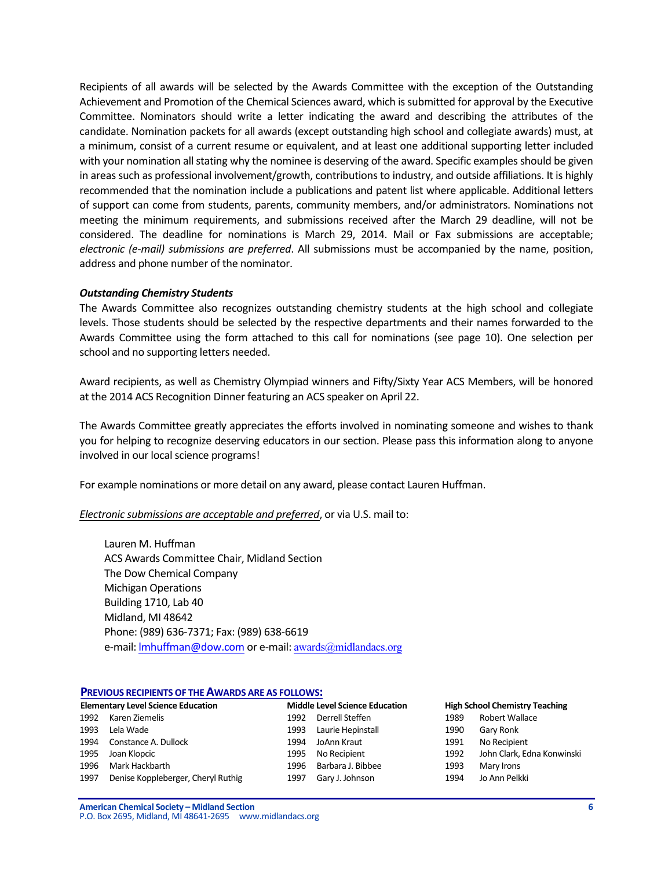Recipients of all awards will be selected by the Awards Committee with the exception of the Outstanding Achievement and Promotion of the Chemical Sciences award, which is submitted for approval by the Executive Committee. Nominators should write a letter indicating the award and describing the attributes of the candidate. Nomination packets for all awards (except outstanding high school and collegiate awards) must, at a minimum, consist of a current resume or equivalent, and at least one additional supporting letter included with your nomination all stating why the nominee is deserving of the award. Specific examples should be given in areas such as professional involvement/growth, contributions to industry, and outside affiliations. It is highly recommended that the nomination include a publications and patent list where applicable. Additional letters of support can come from students, parents, community members, and/or administrators. Nominations not meeting the minimum requirements, and submissions received after the March 29 deadline, will not be considered. The deadline for nominations is March 29, 2014. Mail or Fax submissions are acceptable; *electronic (e-mail)* submissions are preferred. All submissions must be accompanied by the name, position, address and phone number of the nominator.

### *Outstanding Chemistry Students*

The Awards Committee also recognizes outstanding chemistry students at the high school and collegiate levels. Those students should be selected by the respective departments and their names forwarded to the Awards Committee using the form attached to this call for nominations (see page 10). One selection per school and no supporting letters needed.

Award recipients, as well as Chemistry Olympiad winners and Fifty/Sixty Year ACS Members, will be honored at the 2014 ACS Recognition Dinner featuring an ACS speaker on April 22.

The Awards Committee greatly appreciates the efforts involved in nominating someone and wishes to thank you for helping to recognize deserving educators in our section. Please pass this information along to anyone involved in our local science programs!

For example nominations or more detail on any award, please contact Lauren Huffman.

#### *Electronic submissions are acceptable and preferred,* or via U.S. mail to:

Lauren M. Huffman ACS Awards Committee Chair, Midland Section The Dow Chemical Company Michigan Operations Building 1710, Lab 40 Midland, MI 48642 Phone: (989) 636-7371; Fax: (989) 638-6619 e-mail: Imhuffman@dow.com or e-mail: awards@midlandacs.org

#### **PREVIOUS RECIPIENTS OF THE AWARDS ARE AS FOLLOWS:**

|      | <b>Elementary Level Science Education</b> |      | <b>Middle Level Science Education</b> |      | <b>High School Chemistry Teaching</b> |
|------|-------------------------------------------|------|---------------------------------------|------|---------------------------------------|
| 1992 | Karen Ziemelis                            | 1992 | Derrell Steffen                       | 1989 | Robert Wallace                        |
| 1993 | Lela Wade                                 | 1993 | Laurie Hepinstall                     | 1990 | Gary Ronk                             |
| 1994 | Constance A. Dullock                      | 1994 | JoAnn Kraut                           | 1991 | No Recipient                          |
| 1995 | Joan Klopcic                              | 1995 | No Recipient                          | 1992 | John Clark, Edna Konwinski            |
| 1996 | Mark Hackbarth                            | 1996 | Barbara J. Bibbee                     | 1993 | Mary Irons                            |
| 1997 | Denise Koppleberger, Cheryl Ruthig        | 1997 | Gary J. Johnson                       | 1994 | Jo Ann Pelkki                         |

**American Chemical Society – Midland Section 6** P.O. Box 2695, Midland, MI 48641-2695 www.midlandacs.org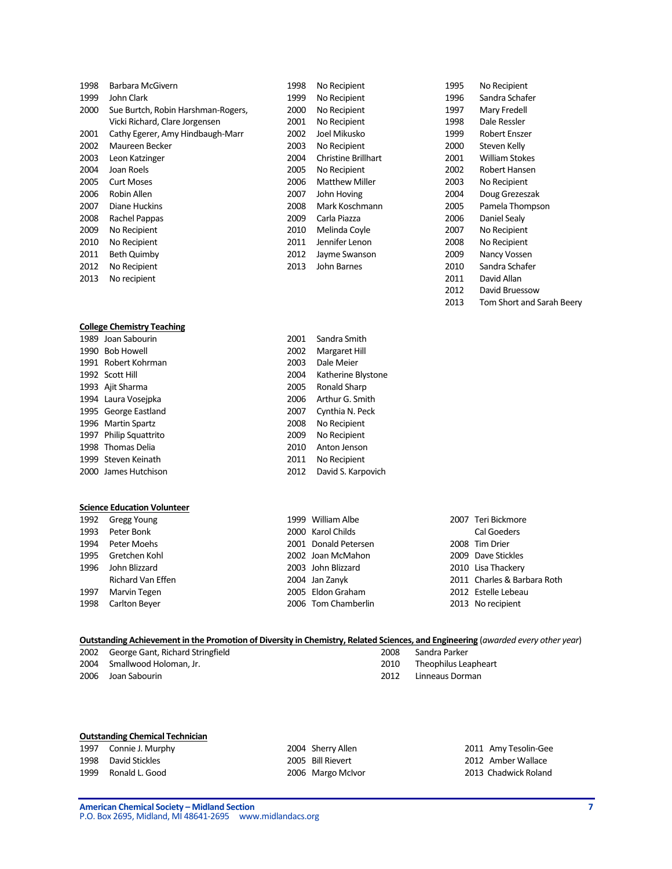| 1998 | Barbara McGivern                   | 1998 | No Recipient               | 1995 | No Recipient          |
|------|------------------------------------|------|----------------------------|------|-----------------------|
| 1999 | John Clark                         | 1999 | No Recipient               | 1996 | Sandra Schafer        |
| 2000 | Sue Burtch, Robin Harshman-Rogers, | 2000 | No Recipient               | 1997 | Mary Fredell          |
|      | Vicki Richard, Clare Jorgensen     | 2001 | No Recipient               | 1998 | Dale Ressler          |
| 2001 | Cathy Egerer, Amy Hindbaugh-Marr   | 2002 | Joel Mikusko               | 1999 | <b>Robert Enszer</b>  |
| 2002 | Maureen Becker                     | 2003 | No Recipient               | 2000 | Steven Kelly          |
| 2003 | Leon Katzinger                     | 2004 | <b>Christine Brillhart</b> | 2001 | <b>William Stokes</b> |
| 2004 | Joan Roels                         | 2005 | No Recipient               | 2002 | Robert Hansen         |
| 2005 | <b>Curt Moses</b>                  | 2006 | <b>Matthew Miller</b>      | 2003 | No Recipient          |
| 2006 | Robin Allen                        | 2007 | John Hoving                | 2004 | Doug Grezeszak        |
| 2007 | Diane Huckins                      | 2008 | Mark Koschmann             | 2005 | Pamela Thompson       |
| 2008 | Rachel Pappas                      | 2009 | Carla Piazza               | 2006 | Daniel Sealy          |
| 2009 | No Recipient                       | 2010 | Melinda Coyle              | 2007 | No Recipient          |
| 2010 | No Recipient                       | 2011 | Jennifer Lenon             | 2008 | No Recipient          |
| 2011 | <b>Beth Quimby</b>                 | 2012 | Jayme Swanson              | 2009 | Nancy Vossen          |
| 2012 | No Recipient                       | 2013 | John Barnes                | 2010 | Sandra Schafer        |
| 2013 | No recipient                       |      |                            | 2011 | David Allan           |

# **College Chemistry Teaching**<br>1989 **Joan Sabourin**

| 1989 Joan Sabourin     | 2001 | Sandra Smith   |
|------------------------|------|----------------|
| 1990 Bob Howell        | 2002 | Margaret Hill  |
| 1991 Robert Kohrman    | 2003 | Dale Meier     |
| 1992 Scott Hill        | 2004 | Katherine Blys |
| 1993 Ajit Sharma       | 2005 | Ronald Sharp   |
| 1994 Laura Voseipka    | 2006 | Arthur G. Smi  |
| 1995 George Eastland   | 2007 | Cynthia N. Pe  |
| 1996 Martin Spartz     | 2008 | No Recipient   |
| 1997 Philip Squattrito | 2009 | No Recipient   |
| 1998 Thomas Delia      | 2010 | Anton Jenson   |
| 1999 Steven Keinath    | 2011 | No Recipient   |
| 2000 James Hutchison   | 2012 | David S. Karpo |

#### **Science Education Volunteer**

|      | 1992 Gregg Young   | 1999 William Albe    | 2007 Teri Bickmore  |
|------|--------------------|----------------------|---------------------|
|      | 1993 Peter Bonk    | 2000 Karol Childs    | <b>Cal Goeders</b>  |
|      | 1994 Peter Moehs   | 2001 Donald Petersen | 2008 Tim Drier      |
|      | 1995 Gretchen Kohl | 2002 Joan McMahon    | 2009 Dave Stickles  |
|      | 1996 John Blizzard | 2003 John Blizzard   | 2010 Lisa Thackery  |
|      | Richard Van Effen  | 2004 Jan Zanyk       | 2011 Charles & Barb |
| 1997 | Marvin Tegen       | 2005 Eldon Graham    | 2012 Estelle Lebeau |
|      | 1998 Carlton Beyer | 2006 Tom Chamberlin  | 2013 No recipient   |

| 1999 William Albe    |
|----------------------|
| 2000 Karol Childs    |
| 2001 Donald Petersen |
| 2002 Joan McMahon    |
| 2003 John Blizzard   |
| 2004 Jan Zanyk       |
| 2005 Eldon Graham    |
| 2006 Tom Chamberlin  |

Margaret Hill Dale Meier Katherine Blystone Ronald Sharp Arthur G. Smith Cynthia N. Peck No Recipient No Recipient Anton Jenson No Recipient David S. Karpovich

| Gregg Young       | 1999 William Albe    | 2007 Teri Bickmore          |
|-------------------|----------------------|-----------------------------|
| Peter Bonk        | 2000 Karol Childs    | <b>Cal Goeders</b>          |
| Peter Moehs       | 2001 Donald Petersen | 2008 Tim Drier              |
| Gretchen Kohl     | 2002 Joan McMahon    | 2009 Dave Stickles          |
| John Blizzard     | 2003 John Blizzard   | 2010 Lisa Thackery          |
| Richard Van Effen | 2004 Jan Zanyk       | 2011 Charles & Barbara Roth |
| Marvin Tegen      | 2005 Eldon Graham    | 2012 Estelle Lebeau         |
| Carlton Beyer     | 2006 Tom Chamberlin  | 2013 No recipient           |

2012 David Bruessow

2013 Tom Short and Sarah Beery

#### **Outstanding Achievement in the Promotion of Diversity in Chemistry, Related Sciences, and Engineering (***awarded every other year***)** 2002 George Gant, Richard Stringfield 2002 Sandra Parker

| 2004 Smallwood Holoman, Jr. |  |
|-----------------------------|--|
| 2006 Joan Sabourin          |  |

2010 Theophilus Leapheart 2012 Linneaus Dorman

### **Outstanding Chemical Technician**

1999 Ronald L. Good **2006 Margo McIvor 2013 Chadwick Roland** 

1997 Connie J. Murphy 2004 Sherry Allen 2011 Amy Tesolin-Gee 2012 Amber Wallace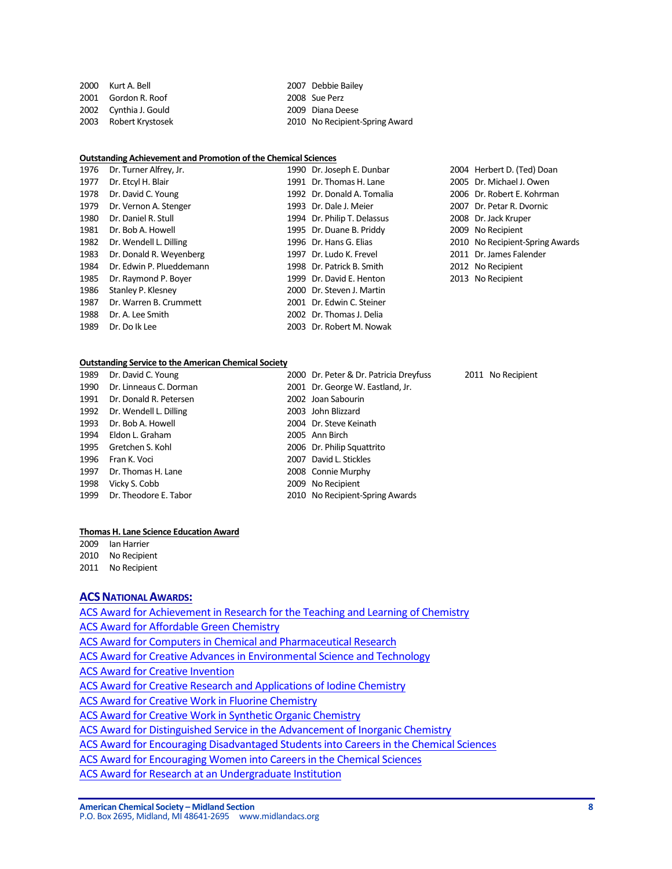| 2000 Kurt A. Bell     | 2007 Debbie Bailey             |
|-----------------------|--------------------------------|
| 2001 Gordon R. Roof   | 2008 Sue Perz                  |
| 2002 Cynthia J. Gould | 2009 Diana Deese               |
| 2003 Robert Krystosek | 2010 No Recipient-Spring Award |
|                       |                                |

#### **Outstanding Achievement and Promotion of the Chemical Sciences**

| 1976 | Dr. Turner Alfrey, Jr.   | 1990 Dr. Joseph E. Dunbar   | 2004 Herbert D. (Ted) Doan      |
|------|--------------------------|-----------------------------|---------------------------------|
| 1977 | Dr. Etcyl H. Blair       | 1991 Dr. Thomas H. Lane     | 2005 Dr. Michael J. Owen        |
| 1978 | Dr. David C. Young       | 1992 Dr. Donald A. Tomalia  | 2006 Dr. Robert E. Kohrman      |
| 1979 | Dr. Vernon A. Stenger    | 1993 Dr. Dale J. Meier      | 2007 Dr. Petar R. Dvornic       |
| 1980 | Dr. Daniel R. Stull      | 1994 Dr. Philip T. Delassus | 2008 Dr. Jack Kruper            |
| 1981 | Dr. Bob A. Howell        | 1995 Dr. Duane B. Priddy    | 2009 No Recipient               |
| 1982 | Dr. Wendell L. Dilling   | 1996 Dr. Hans G. Elias      | 2010 No Recipient-Spring Awards |
| 1983 | Dr. Donald R. Weyenberg  | 1997 Dr. Ludo K. Frevel     | 2011 Dr. James Falender         |
| 1984 | Dr. Edwin P. Plueddemann | 1998 Dr. Patrick B. Smith   | 2012 No Recipient               |
| 1985 | Dr. Raymond P. Boyer     | 1999 Dr. David E. Henton    | 2013 No Recipient               |
| 1986 | Stanley P. Klesney       | 2000 Dr. Steven J. Martin   |                                 |
| 1987 | Dr. Warren B. Crummett   | 2001 Dr. Edwin C. Steiner   |                                 |
| 1988 | Dr. A. Lee Smith         | 2002 Dr. Thomas J. Delia    |                                 |
| 1989 | Dr. Do Ik Lee            | 2003 Dr. Robert M. Nowak    |                                 |

#### **Outstanding Service to the American Chemical Society**

| 1989 | Dr. David C. Young          | 2000 Dr. Peter & Dr. Patricia Dreyfuss | 2011 No Recipient |
|------|-----------------------------|----------------------------------------|-------------------|
| 1990 | Dr. Linneaus C. Dorman      | 2001 Dr. George W. Eastland, Jr.       |                   |
| 1991 | Dr. Donald R. Petersen      | 2002 Joan Sabourin                     |                   |
|      | 1992 Dr. Wendell L. Dilling | 2003 John Blizzard                     |                   |
|      | 1993 Dr. Bob A. Howell      | 2004 Dr. Steve Keinath                 |                   |
| 1994 | Eldon L. Graham             | 2005 Ann Birch                         |                   |
|      | 1995 Gretchen S. Kohl       | 2006 Dr. Philip Squattrito             |                   |
| 1996 | Fran K. Voci                | 2007 David L. Stickles                 |                   |
| 1997 | Dr. Thomas H. Lane          | 2008 Connie Murphy                     |                   |
| 1998 | Vicky S. Cobb               | 2009 No Recipient                      |                   |
|      | 1999 Dr. Theodore E. Tabor  | 2010 No Recipient-Spring Awards        |                   |

#### **Thomas H. Lane Science Education Award**

2009 Ian Harrier 2010 No Recipient

2011 No Recipient

### **ACS NATIONAL AWARDS:**

ACS Award for Achievement in Research for the Teaching and Learning of Chemistry ACS Award for Affordable Green Chemistry ACS Award for Computers in Chemical and Pharmaceutical Research ACS Award for Creative Advances in Environmental Science and Technology **ACS Award for Creative Invention** ACS Award for Creative Research and Applications of Iodine Chemistry ACS Award for Creative Work in Fluorine Chemistry ACS Award for Creative Work in Synthetic Organic Chemistry ACS Award for Distinguished Service in the Advancement of Inorganic Chemistry ACS Award for Encouraging Disadvantaged Students into Careers in the Chemical Sciences ACS Award for Encouraging Women into Careers in the Chemical Sciences ACS Award for Research at an Undergraduate Institution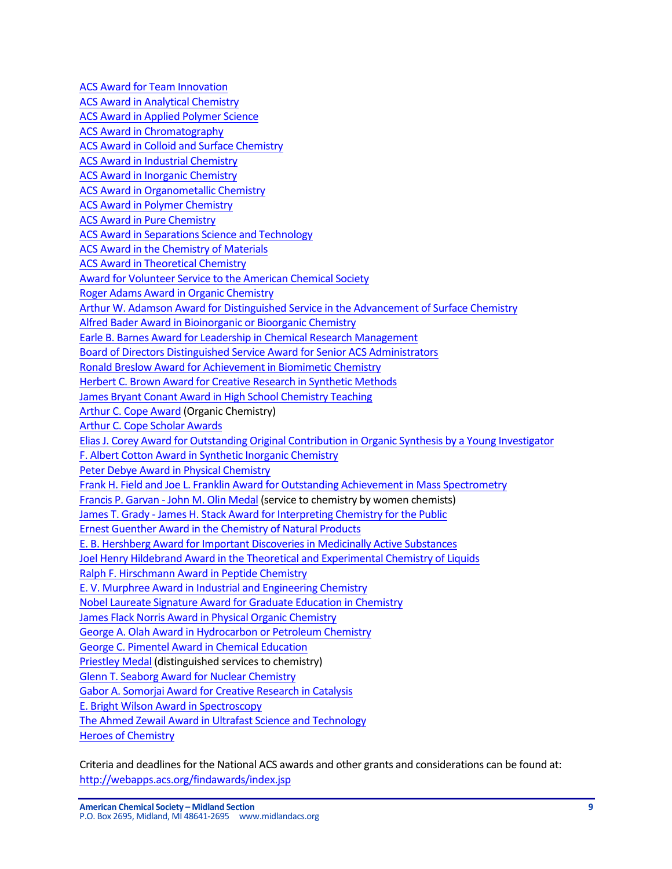**ACS Award for Team Innovation ACS Award in Analytical Chemistry ACS Award in Applied Polymer Science** ACS Award in Chromatography ACS Award in Colloid and Surface Chemistry ACS Award in Industrial Chemistry ACS Award in Inorganic Chemistry ACS Award in Organometallic Chemistry **ACS Award in Polymer Chemistry ACS Award in Pure Chemistry** ACS Award in Separations Science and Technology ACS Award in the Chemistry of Materials ACS Award in Theoretical Chemistry Award for Volunteer Service to the American Chemical Society Roger Adams Award in Organic Chemistry Arthur W. Adamson Award for Distinguished Service in the Advancement of Surface Chemistry Alfred Bader Award in Bioinorganic or Bioorganic Chemistry Earle B. Barnes Award for Leadership in Chemical Research Management Board of Directors Distinguished Service Award for Senior ACS Administrators Ronald Breslow Award for Achievement in Biomimetic Chemistry Herbert C. Brown Award for Creative Research in Synthetic Methods James Bryant Conant Award in High School Chemistry Teaching Arthur C. Cope Award (Organic Chemistry) Arthur C. Cope Scholar Awards Elias J. Corey Award for Outstanding Original Contribution in Organic Synthesis by a Young Investigator F. Albert Cotton Award in Synthetic Inorganic Chemistry Peter Debye Award in Physical Chemistry Frank H. Field and Joe L. Franklin Award for Outstanding Achievement in Mass Spectrometry Francis P. Garvan - John M. Olin Medal (service to chemistry by women chemists) James T. Grady - James H. Stack Award for Interpreting Chemistry for the Public Ernest Guenther Award in the Chemistry of Natural Products E. B. Hershberg Award for Important Discoveries in Medicinally Active Substances Joel Henry Hildebrand Award in the Theoretical and Experimental Chemistry of Liquids Ralph F. Hirschmann Award in Peptide Chemistry E. V. Murphree Award in Industrial and Engineering Chemistry Nobel Laureate Signature Award for Graduate Education in Chemistry James Flack Norris Award in Physical Organic Chemistry George A. Olah Award in Hydrocarbon or Petroleum Chemistry George C. Pimentel Award in Chemical Education Priestley Medal (distinguished services to chemistry) Glenn T. Seaborg Award for Nuclear Chemistry Gabor A. Somorjai Award for Creative Research in Catalysis E. Bright Wilson Award in Spectroscopy The Ahmed Zewail Award in Ultrafast Science and Technology Heroes of Chemistry

Criteria and deadlines for the National ACS awards and other grants and considerations can be found at: http://webapps.acs.org/findawards/index.jsp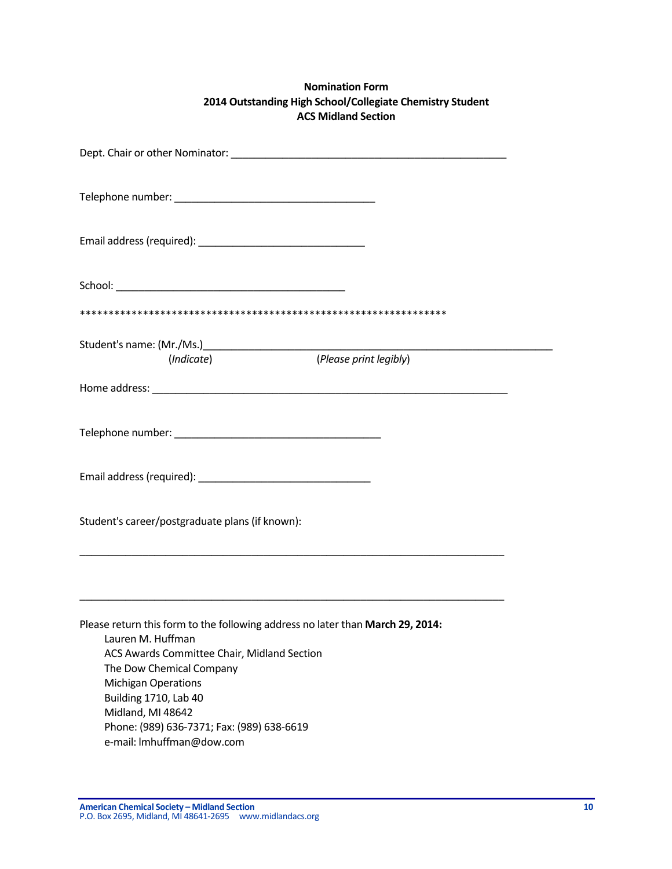# **Nomination Form 2014 Outstanding High School/Collegiate Chemistry Student ACS Midland Section**

| (Indicate)                                                                                                                                                                                                                                                                                                                            | (Please print legibly) |  |  |  |  |  |  |  |  |
|---------------------------------------------------------------------------------------------------------------------------------------------------------------------------------------------------------------------------------------------------------------------------------------------------------------------------------------|------------------------|--|--|--|--|--|--|--|--|
|                                                                                                                                                                                                                                                                                                                                       |                        |  |  |  |  |  |  |  |  |
|                                                                                                                                                                                                                                                                                                                                       |                        |  |  |  |  |  |  |  |  |
|                                                                                                                                                                                                                                                                                                                                       |                        |  |  |  |  |  |  |  |  |
| Student's career/postgraduate plans (if known):                                                                                                                                                                                                                                                                                       |                        |  |  |  |  |  |  |  |  |
|                                                                                                                                                                                                                                                                                                                                       |                        |  |  |  |  |  |  |  |  |
| Please return this form to the following address no later than March 29, 2014:<br>Lauren M. Huffman<br>ACS Awards Committee Chair, Midland Section<br>The Dow Chemical Company<br><b>Michigan Operations</b><br>Building 1710, Lab 40<br>Midland, MI 48642<br>Phone: (989) 636-7371; Fax: (989) 638-6619<br>e-mail: Imhuffman@dow.com |                        |  |  |  |  |  |  |  |  |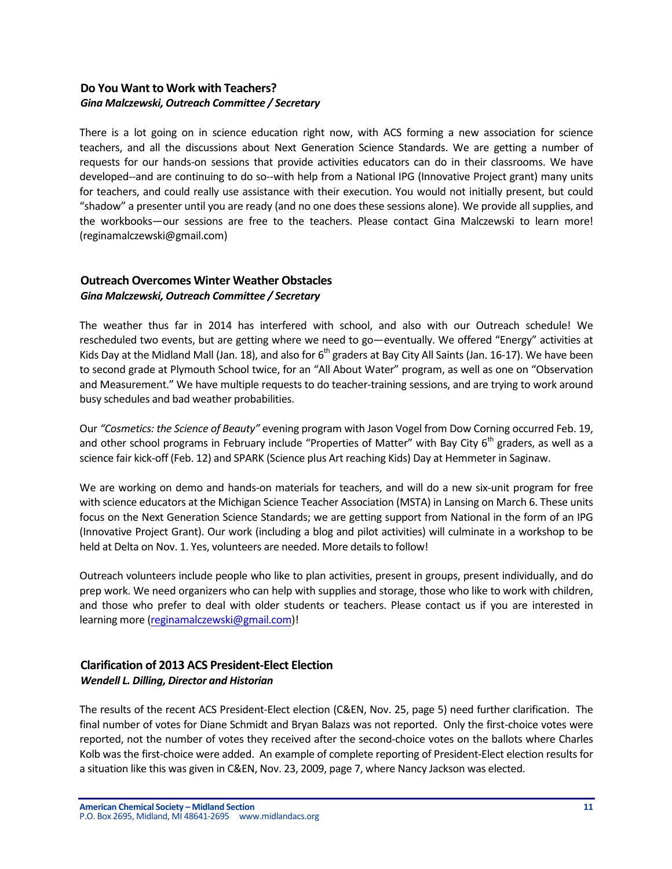# Do You Want to Work with Teachers? *Gina Malczewski, Outreach Committee / Secretary*

There is a lot going on in science education right now, with ACS forming a new association for science teachers, and all the discussions about Next Generation Science Standards. We are getting a number of requests for our hands-on sessions that provide activities educators can do in their classrooms. We have developed--and are continuing to do so--with help from a National IPG (Innovative Project grant) many units for teachers, and could really use assistance with their execution. You would not initially present, but could "shadow" a presenter until you are ready (and no one does these sessions alone). We provide all supplies, and the workbooks—our sessions are free to the teachers. Please contact Gina Malczewski to learn more! (reginamalczewski@gmail.com)

# **Outreach Overcomes Winter Weather Obstacles** *Gina Malczewski, Outreach Committee / Secretary*

The weather thus far in 2014 has interfered with school, and also with our Outreach schedule! We rescheduled two events, but are getting where we need to go—eventually. We offered "Energy" activities at Kids Day at the Midland Mall (Jan. 18), and also for  $6<sup>th</sup>$  graders at Bay City All Saints (Jan. 16-17). We have been to second grade at Plymouth School twice, for an "All About Water" program, as well as one on "Observation and Measurement." We have multiple requests to do teacher-training sessions, and are trying to work around busy schedules and bad weather probabilities.

Our "Cosmetics: the Science of Beauty" evening program with Jason Vogel from Dow Corning occurred Feb. 19, and other school programs in February include "Properties of Matter" with Bay City  $6<sup>th</sup>$  graders, as well as a science fair kick-off (Feb. 12) and SPARK (Science plus Art reaching Kids) Day at Hemmeter in Saginaw.

We are working on demo and hands-on materials for teachers, and will do a new six-unit program for free with science educators at the Michigan Science Teacher Association (MSTA) in Lansing on March 6. These units focus on the Next Generation Science Standards; we are getting support from National in the form of an IPG (Innovative Project Grant). Our work (including a blog and pilot activities) will culminate in a workshop to be held at Delta on Nov. 1. Yes, volunteers are needed. More details to follow!

Outreach volunteers include people who like to plan activities, present in groups, present individually, and do prep work. We need organizers who can help with supplies and storage, those who like to work with children, and those who prefer to deal with older students or teachers. Please contact us if you are interested in learning more (reginamalczewski@gmail.com)!

# **Clarification of 2013 ACS President-Elect Election**  *Wendell L. Dilling, Director and Historian*

The results of the recent ACS President-Elect election (C&EN, Nov. 25, page 5) need further clarification. The final number of votes for Diane Schmidt and Bryan Balazs was not reported. Only the first-choice votes were reported, not the number of votes they received after the second-choice votes on the ballots where Charles Kolb was the first-choice were added. An example of complete reporting of President-Elect election results for a situation like this was given in C&EN, Nov. 23, 2009, page 7, where Nancy Jackson was elected.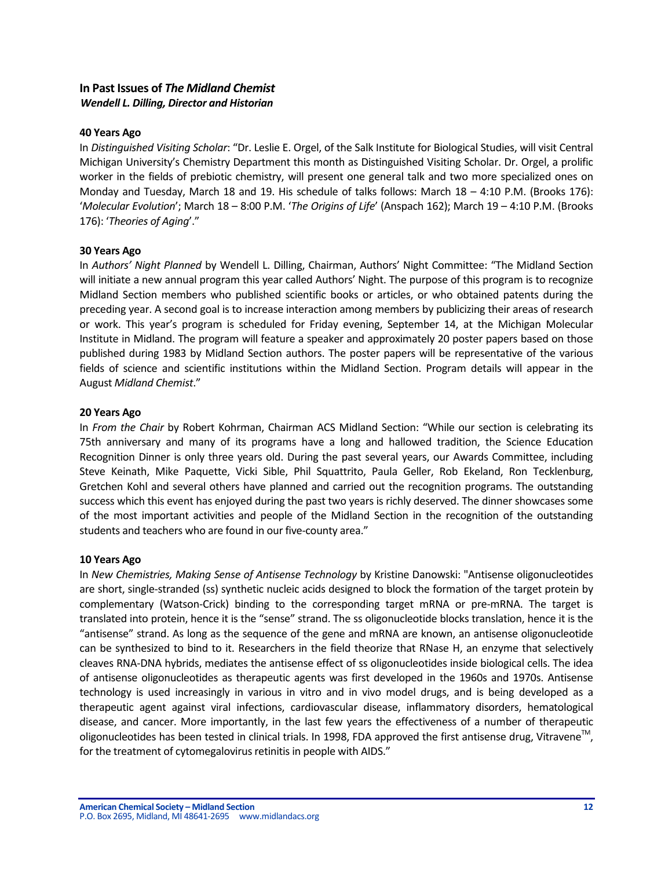# **In Past Issues of** *The Midland Chemist Wendell L. Dilling, Director and Historian*

### **40 Years Ago**

In *Distinguished Visiting Scholar*: "Dr. Leslie E. Orgel, of the Salk Institute for Biological Studies, will visit Central Michigan University's Chemistry Department this month as Distinguished Visiting Scholar. Dr. Orgel, a prolific worker in the fields of prebiotic chemistry, will present one general talk and two more specialized ones on Monday and Tuesday, March 18 and 19. His schedule of talks follows: March  $18 - 4:10$  P.M. (Brooks 176): '*Molecular Evolution'*; March 18 - 8:00 P.M. 'The Origins of Life' (Anspach 162); March 19 - 4:10 P.M. (Brooks 176): 'Theories of Aging'."

### **30 Years Ago**

In *Authors' Night Planned* by Wendell L. Dilling, Chairman, Authors' Night Committee: "The Midland Section will initiate a new annual program this year called Authors' Night. The purpose of this program is to recognize Midland Section members who published scientific books or articles, or who obtained patents during the preceding year. A second goal is to increase interaction among members by publicizing their areas of research or work. This year's program is scheduled for Friday evening, September 14, at the Michigan Molecular Institute in Midland. The program will feature a speaker and approximately 20 poster papers based on those published during 1983 by Midland Section authors. The poster papers will be representative of the various fields of science and scientific institutions within the Midland Section. Program details will appear in the August *Midland Chemist*."

### **20 Years Ago**

In *From the Chair* by Robert Kohrman, Chairman ACS Midland Section: "While our section is celebrating its 75th anniversary and many of its programs have a long and hallowed tradition, the Science Education Recognition Dinner is only three years old. During the past several years, our Awards Committee, including Steve Keinath, Mike Paquette, Vicki Sible, Phil Squattrito, Paula Geller, Rob Ekeland, Ron Tecklenburg, Gretchen Kohl and several others have planned and carried out the recognition programs. The outstanding success which this event has enjoyed during the past two years is richly deserved. The dinner showcases some of the most important activities and people of the Midland Section in the recognition of the outstanding students and teachers who are found in our five-county area."

### **10 Years Ago**

In *New Chemistries, Making Sense of Antisense Technology* by Kristine Danowski: "Antisense oligonucleotides are short, single-stranded (ss) synthetic nucleic acids designed to block the formation of the target protein by complementary (Watson-Crick) binding to the corresponding target mRNA or pre-mRNA. The target is translated into protein, hence it is the "sense" strand. The ss oligonucleotide blocks translation, hence it is the "antisense" strand. As long as the sequence of the gene and mRNA are known, an antisense oligonucleotide can be synthesized to bind to it. Researchers in the field theorize that RNase H, an enzyme that selectively cleaves RNA-DNA hybrids, mediates the antisense effect of ss oligonucleotides inside biological cells. The idea of antisense oligonucleotides as therapeutic agents was first developed in the 1960s and 1970s. Antisense technology is used increasingly in various in vitro and in vivo model drugs, and is being developed as a therapeutic agent against viral infections, cardiovascular disease, inflammatory disorders, hematological disease, and cancer. More importantly, in the last few years the effectiveness of a number of therapeutic oligonucleotides has been tested in clinical trials. In 1998, FDA approved the first antisense drug, Vitravene<sup>TM</sup>, for the treatment of cytomegalovirus retinitis in people with AIDS."